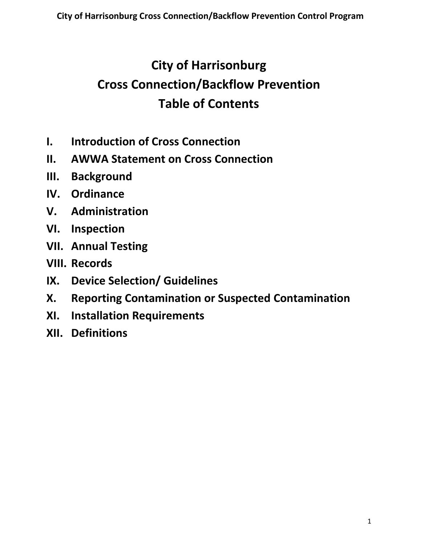# **City of Harrisonburg Cross Connection/Backflow Prevention Table of Contents**

- **I. Introduction of Cross Connection**
- **II. AWWA Statement on Cross Connection**
- **III. Background**
- **IV. Ordinance**
- **V. Administration**
- **VI. Inspection**
- **VII. Annual Testing**
- **VIII. Records**
- **IX. Device Selection/ Guidelines**
- **X. Reporting Contamination or Suspected Contamination**
- **XI. Installation Requirements**
- **XII. Definitions**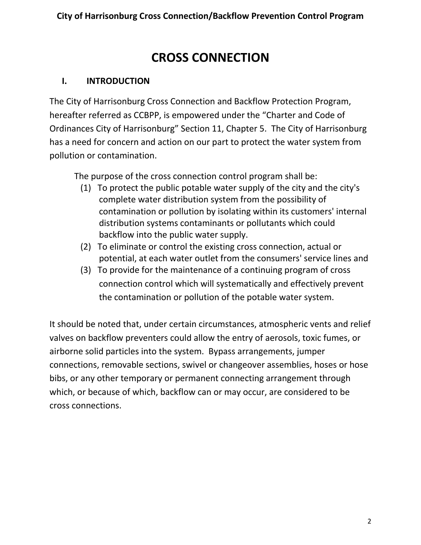# **CROSS CONNECTION**

### **I. INTRODUCTION**

The City of Harrisonburg Cross Connection and Backflow Protection Program, hereafter referred as CCBPP, is empowered under the "Charter and Code of Ordinances City of Harrisonburg" Section 11, Chapter 5. The City of Harrisonburg has a need for concern and action on our part to protect the water system from pollution or contamination.

The purpose of the cross connection control program shall be:

- (1) To protect the public potable water supply of the city and the city's complete water distribution system from the possibility of contamination or pollution by isolating within its customers' internal distribution systems contaminants or pollutants which could backflow into the public water supply.
- (2) To eliminate or control the existing cross connection, actual or potential, at each water outlet from the consumers' service lines and
- (3) To provide for the maintenance of a continuing program of cross connection control which will systematically and effectively prevent the contamination or pollution of the potable water system.

It should be noted that, under certain circumstances, atmospheric vents and relief valves on backflow preventers could allow the entry of aerosols, toxic fumes, or airborne solid particles into the system. Bypass arrangements, jumper connections, removable sections, swivel or changeover assemblies, hoses or hose bibs, or any other temporary or permanent connecting arrangement through which, or because of which, backflow can or may occur, are considered to be cross connections.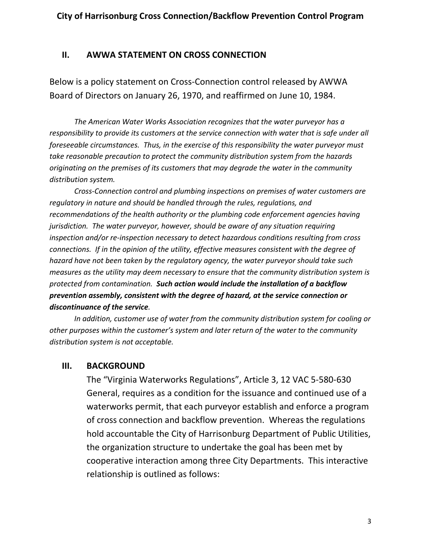#### **II. AWWA STATEMENT ON CROSS CONNECTION**

Below is a policy statement on Cross-Connection control released by AWWA Board of Directors on January 26, 1970, and reaffirmed on June 10, 1984.

*The American Water Works Association recognizes that the water purveyor has a responsibility to provide its customers at the service connection with water that is safe under all foreseeable circumstances. Thus, in the exercise of this responsibility the water purveyor must take reasonable precaution to protect the community distribution system from the hazards originating on the premises of its customers that may degrade the water in the community distribution system.*

*Cross-Connection control and plumbing inspections on premises of water customers are regulatory in nature and should be handled through the rules, regulations, and recommendations of the health authority or the plumbing code enforcement agencies having jurisdiction. The water purveyor, however, should be aware of any situation requiring inspection and/or re-inspection necessary to detect hazardous conditions resulting from cross connections. If in the opinion of the utility, effective measures consistent with the degree of hazard have not been taken by the regulatory agency, the water purveyor should take such measures as the utility may deem necessary to ensure that the community distribution system is protected from contamination. Such action would include the installation of a backflow prevention assembly, consistent with the degree of hazard, at the service connection or discontinuance of the service.*

*In addition, customer use of water from the community distribution system for cooling or other purposes within the customer's system and later return of the water to the community distribution system is not acceptable.*

#### **III. BACKGROUND**

The "Virginia Waterworks Regulations", Article 3, 12 VAC 5-580-630 General, requires as a condition for the issuance and continued use of a waterworks permit, that each purveyor establish and enforce a program of cross connection and backflow prevention. Whereas the regulations hold accountable the City of Harrisonburg Department of Public Utilities, the organization structure to undertake the goal has been met by cooperative interaction among three City Departments. This interactive relationship is outlined as follows: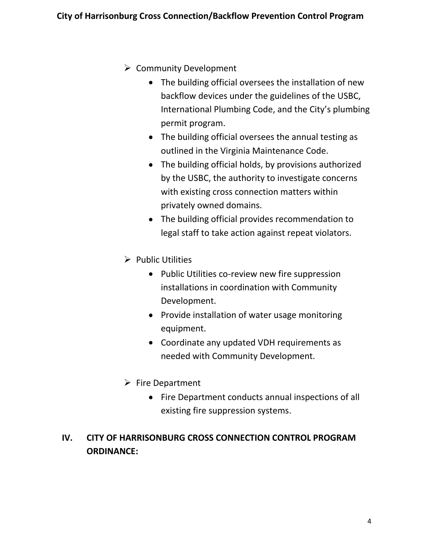- $\triangleright$  Community Development
	- The building official oversees the installation of new backflow devices under the guidelines of the USBC, International Plumbing Code, and the City's plumbing permit program.
	- The building official oversees the annual testing as outlined in the Virginia Maintenance Code.
	- The building official holds, by provisions authorized by the USBC, the authority to investigate concerns with existing cross connection matters within privately owned domains.
	- The building official provides recommendation to legal staff to take action against repeat violators.
- $\triangleright$  Public Utilities
	- Public Utilities co-review new fire suppression installations in coordination with Community Development.
	- Provide installation of water usage monitoring equipment.
	- Coordinate any updated VDH requirements as needed with Community Development.
- $\triangleright$  Fire Department
	- Fire Department conducts annual inspections of all existing fire suppression systems.

# **IV. CITY OF HARRISONBURG CROSS CONNECTION CONTROL PROGRAM ORDINANCE:**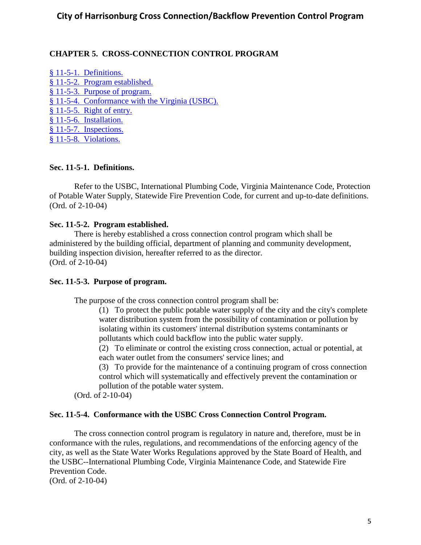#### **CHAPTER 5. CROSS-CONNECTION CONTROL PROGRAM**

- § 11-5-2. [Program established.](http://library1.municode.com/default-test/DocView/10893/1/68/72#0-0-0-2127)
- § 11-5-3. [Purpose of program.](http://library1.municode.com/default-test/DocView/10893/1/68/72#0-0-0-2129)
- § 11-5-4. [Conformance with the Virginia \(USBC\).](http://library1.municode.com/default-test/DocView/10893/1/68/72#0-0-0-2131)
- § 11-5-5. [Right of entry.](http://library1.municode.com/default-test/DocView/10893/1/68/72#0-0-0-2133)
- § 11-5-6. [Installation.](http://library1.municode.com/default-test/DocView/10893/1/68/72#0-0-0-2135)

§ 11-5-7. [Inspections.](http://library1.municode.com/default-test/DocView/10893/1/68/72#0-0-0-2137)

§ 11-5-8. [Violations.](http://library1.municode.com/default-test/DocView/10893/1/68/72#0-0-0-2139)

#### **Sec. 11-5-1. Definitions.**

Refer to the USBC, International Plumbing Code, Virginia Maintenance Code, Protection of Potable Water Supply, Statewide Fire Prevention Code, for current and up-to-date definitions. (Ord. of 2-10-04)

#### **Sec. 11-5-2. Program established.**

There is hereby established a cross connection control program which shall be administered by the building official, department of planning and community development, building inspection division, hereafter referred to as the director. (Ord. of 2-10-04)

#### **Sec. 11-5-3. Purpose of program.**

The purpose of the cross connection control program shall be:

(1) To protect the public potable water supply of the city and the city's complete water distribution system from the possibility of contamination or pollution by isolating within its customers' internal distribution systems contaminants or pollutants which could backflow into the public water supply.

(2) To eliminate or control the existing cross connection, actual or potential, at each water outlet from the consumers' service lines; and

(3) To provide for the maintenance of a continuing program of cross connection control which will systematically and effectively prevent the contamination or pollution of the potable water system.

(Ord. of 2-10-04)

#### **Sec. 11-5-4. Conformance with the USBC Cross Connection Control Program.**

The cross connection control program is regulatory in nature and, therefore, must be in conformance with the rules, regulations, and recommendations of the enforcing agency of the city, as well as the State Water Works Regulations approved by the State Board of Health, and the USBC--International Plumbing Code, Virginia Maintenance Code, and Statewide Fire Prevention Code. (Ord. of 2-10-04)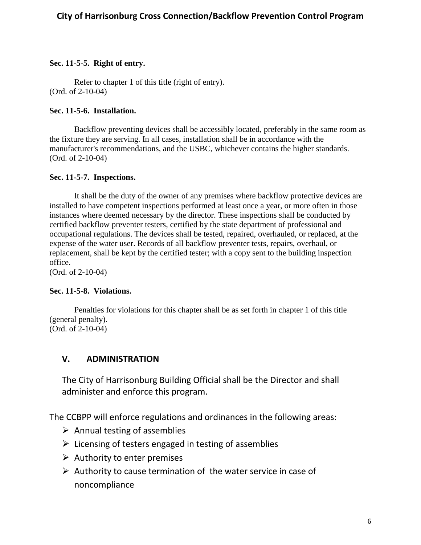#### **Sec. 11-5-5. Right of entry.**

Refer to chapter 1 of this title (right of entry). (Ord. of 2-10-04)

#### **Sec. 11-5-6. Installation.**

Backflow preventing devices shall be accessibly located, preferably in the same room as the fixture they are serving. In all cases, installation shall be in accordance with the manufacturer's recommendations, and the USBC, whichever contains the higher standards. (Ord. of 2-10-04)

#### **Sec. 11-5-7. Inspections.**

It shall be the duty of the owner of any premises where backflow protective devices are installed to have competent inspections performed at least once a year, or more often in those instances where deemed necessary by the director. These inspections shall be conducted by certified backflow preventer testers, certified by the state department of professional and occupational regulations. The devices shall be tested, repaired, overhauled, or replaced, at the expense of the water user. Records of all backflow preventer tests, repairs, overhaul, or replacement, shall be kept by the certified tester; with a copy sent to the building inspection office.

(Ord. of 2-10-04)

#### **Sec. 11-5-8. Violations.**

Penalties for violations for this chapter shall be as set forth in chapter 1 of this title (general penalty). (Ord. of 2-10-04)

### **V. ADMINISTRATION**

The City of Harrisonburg Building Official shall be the Director and shall administer and enforce this program.

The CCBPP will enforce regulations and ordinances in the following areas:

- $\triangleright$  Annual testing of assemblies
- $\triangleright$  Licensing of testers engaged in testing of assemblies
- $\triangleright$  Authority to enter premises
- $\triangleright$  Authority to cause termination of the water service in case of noncompliance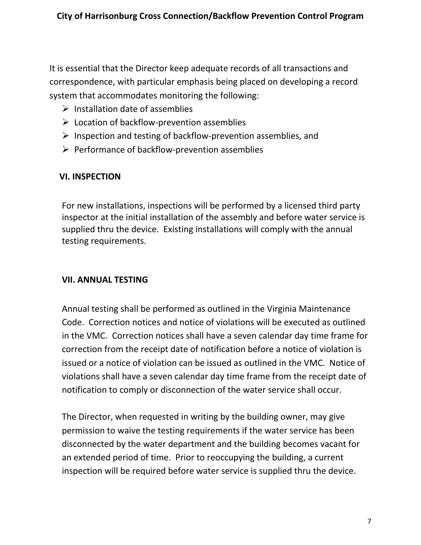It is essential that the Director keep adequate records of all transactions and correspondence, with particular emphasis being placed on developing a record system that accommodates monitoring the following:

- $\triangleright$  Installation date of assemblies
- $\triangleright$  Location of backflow-prevention assemblies
- $\triangleright$  Inspection and testing of backflow-prevention assemblies, and
- $\triangleright$  Performance of backflow-prevention assemblies

## **VI. INSPECTION**

For new installations, inspections will be performed by a licensed third party inspector at the initial installation of the assembly and before water service is supplied thru the device. Existing installations will comply with the annual testing requirements.

# **VII. ANNUAL TESTING**

Annual testing shall be performed as outlined in the Virginia Maintenance Code. Correction notices and notice of violations will be executed as outlined in the VMC. Correction notices shall have a seven calendar day time frame for correction from the receipt date of notification before a notice of violation is issued or a notice of violation can be issued as outlined in the VMC. Notice of violations shall have a seven calendar day time frame from the receipt date of notification to comply or disconnection of the water service shall occur.

The Director, when requested in writing by the building owner, may give permission to waive the testing requirements if the water service has been disconnected by the water department and the building becomes vacant for an extended period of time. Prior to reoccupying the building, a current inspection will be required before water service is supplied thru the device.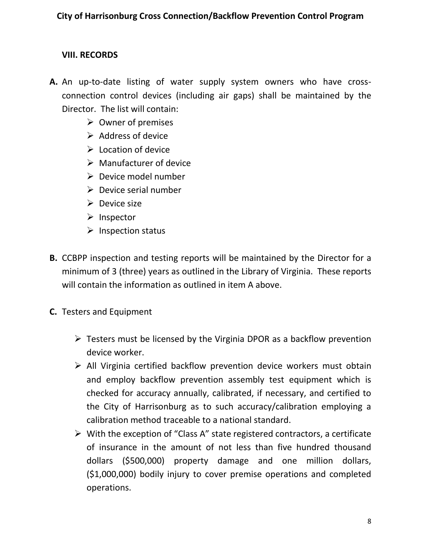## **VIII. RECORDS**

- **A.** An up-to-date listing of water supply system owners who have crossconnection control devices (including air gaps) shall be maintained by the Director. The list will contain:
	- $\triangleright$  Owner of premises
	- $\triangleright$  Address of device
	- $\triangleright$  Location of device
	- $\triangleright$  Manufacturer of device
	- $\triangleright$  Device model number
	- $\triangleright$  Device serial number
	- $\triangleright$  Device size
	- $\triangleright$  Inspector
	- $\triangleright$  Inspection status
- **B.** CCBPP inspection and testing reports will be maintained by the Director for a minimum of 3 (three) years as outlined in the Library of Virginia. These reports will contain the information as outlined in item A above.
- **C.** Testers and Equipment
	- $\triangleright$  Testers must be licensed by the Virginia DPOR as a backflow prevention device worker.
	- $\triangleright$  All Virginia certified backflow prevention device workers must obtain and employ backflow prevention assembly test equipment which is checked for accuracy annually, calibrated, if necessary, and certified to the City of Harrisonburg as to such accuracy/calibration employing a calibration method traceable to a national standard.
	- $\triangleright$  With the exception of "Class A" state registered contractors, a certificate of insurance in the amount of not less than five hundred thousand dollars (\$500,000) property damage and one million dollars, (\$1,000,000) bodily injury to cover premise operations and completed operations.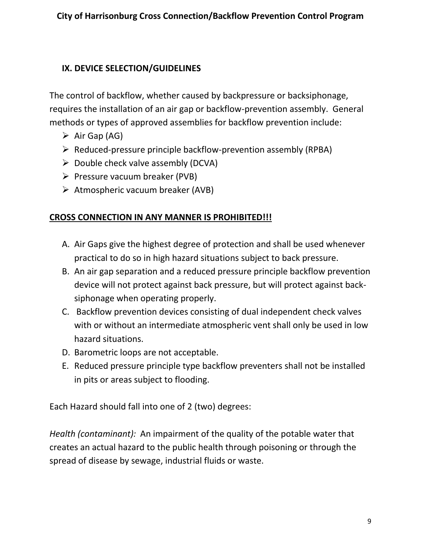# **IX. DEVICE SELECTION/GUIDELINES**

The control of backflow, whether caused by backpressure or backsiphonage, requires the installation of an air gap or backflow-prevention assembly. General methods or types of approved assemblies for backflow prevention include:

- $\triangleright$  Air Gap (AG)
- $\triangleright$  Reduced-pressure principle backflow-prevention assembly (RPBA)
- $\triangleright$  Double check valve assembly (DCVA)
- $\triangleright$  Pressure vacuum breaker (PVB)
- $\triangleright$  Atmospheric vacuum breaker (AVB)

# **CROSS CONNECTION IN ANY MANNER IS PROHIBITED!!!**

- A. Air Gaps give the highest degree of protection and shall be used whenever practical to do so in high hazard situations subject to back pressure.
- B. An air gap separation and a reduced pressure principle backflow prevention device will not protect against back pressure, but will protect against backsiphonage when operating properly.
- C. Backflow prevention devices consisting of dual independent check valves with or without an intermediate atmospheric vent shall only be used in low hazard situations.
- D. Barometric loops are not acceptable.
- E. Reduced pressure principle type backflow preventers shall not be installed in pits or areas subject to flooding.

Each Hazard should fall into one of 2 (two) degrees:

*Health (contaminant):* An impairment of the quality of the potable water that creates an actual hazard to the public health through poisoning or through the spread of disease by sewage, industrial fluids or waste.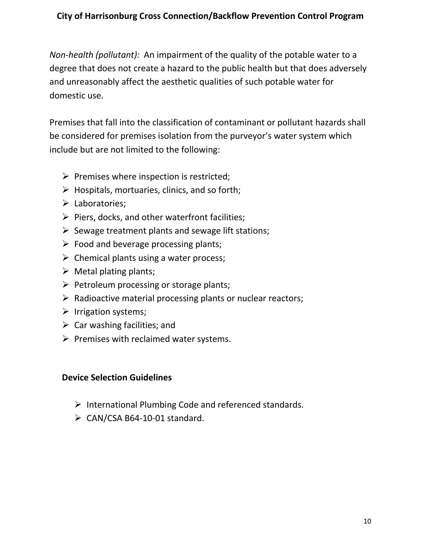*Non-health (pollutant):* An impairment of the quality of the potable water to a degree that does not create a hazard to the public health but that does adversely and unreasonably affect the aesthetic qualities of such potable water for domestic use.

Premises that fall into the classification of contaminant or pollutant hazards shall be considered for premises isolation from the purveyor's water system which include but are not limited to the following:

- $\triangleright$  Premises where inspection is restricted;
- $\triangleright$  Hospitals, mortuaries, clinics, and so forth;
- $\triangleright$  Laboratories;
- $\triangleright$  Piers, docks, and other waterfront facilities;
- $\triangleright$  Sewage treatment plants and sewage lift stations;
- $\triangleright$  Food and beverage processing plants;
- $\triangleright$  Chemical plants using a water process;
- $\triangleright$  Metal plating plants;
- $\triangleright$  Petroleum processing or storage plants;
- $\triangleright$  Radioactive material processing plants or nuclear reactors;
- $\triangleright$  Irrigation systems;
- $\triangleright$  Car washing facilities; and
- $\triangleright$  Premises with reclaimed water systems.

### **Device Selection Guidelines**

- $\triangleright$  International Plumbing Code and referenced standards.
- $\triangleright$  CAN/CSA B64-10-01 standard.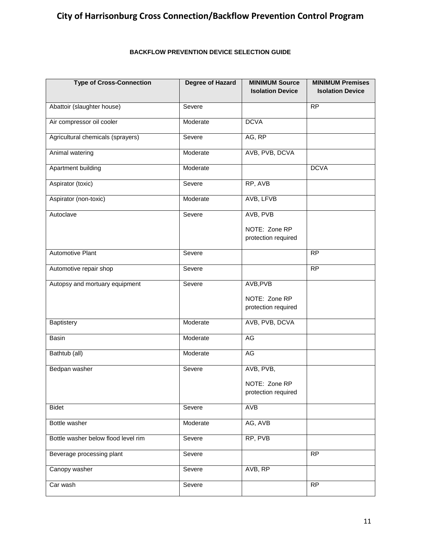#### **BACKFLOW PREVENTION DEVICE SELECTION GUIDE**

| <b>Type of Cross-Connection</b>     | <b>Degree of Hazard</b> | <b>MINIMUM Source</b><br><b>Isolation Device</b> | <b>MINIMUM Premises</b><br><b>Isolation Device</b> |
|-------------------------------------|-------------------------|--------------------------------------------------|----------------------------------------------------|
| Abattoir (slaughter house)          | Severe                  |                                                  | $\overline{RP}$                                    |
| Air compressor oil cooler           | Moderate                | <b>DCVA</b>                                      |                                                    |
| Agricultural chemicals (sprayers)   | Severe                  | AG, RP                                           |                                                    |
| Animal watering                     | Moderate                | AVB, PVB, DCVA                                   |                                                    |
| Apartment building                  | Moderate                |                                                  | <b>DCVA</b>                                        |
| Aspirator (toxic)                   | Severe                  | RP, AVB                                          |                                                    |
| Aspirator (non-toxic)               | Moderate                | AVB, LFVB                                        |                                                    |
| Autoclave                           | Severe                  | AVB, PVB                                         |                                                    |
|                                     |                         | NOTE: Zone RP<br>protection required             |                                                    |
| <b>Automotive Plant</b>             | Severe                  |                                                  | $\overline{RP}$                                    |
| Automotive repair shop              | Severe                  |                                                  | $\overline{RP}$                                    |
| Autopsy and mortuary equipment      | Severe                  | AVB, PVB                                         |                                                    |
|                                     |                         | NOTE: Zone RP<br>protection required             |                                                    |
| Baptistery                          | Moderate                | AVB, PVB, DCVA                                   |                                                    |
| Basin                               | Moderate                | AG                                               |                                                    |
| Bathtub (all)                       | Moderate                | <b>AG</b>                                        |                                                    |
| Bedpan washer                       | Severe                  | AVB, PVB,                                        |                                                    |
|                                     |                         | NOTE: Zone RP<br>protection required             |                                                    |
| <b>Bidet</b>                        | Severe                  | AVB                                              |                                                    |
| Bottle washer                       | Moderate                | AG, AVB                                          |                                                    |
| Bottle washer below flood level rim | Severe                  | RP, PVB                                          |                                                    |
| Beverage processing plant           | Severe                  |                                                  | <b>RP</b>                                          |
| Canopy washer                       | Severe                  | AVB, RP                                          |                                                    |
| Car wash                            | Severe                  |                                                  | <b>RP</b>                                          |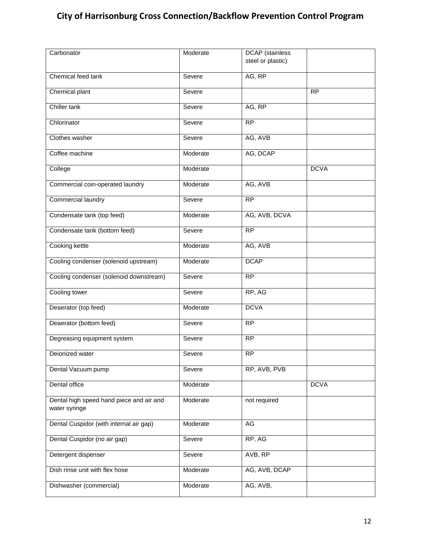| Carbonator                                                | Moderate | <b>DCAP</b> (stainless<br>steel or plastic) |             |
|-----------------------------------------------------------|----------|---------------------------------------------|-------------|
| Chemical feed tank                                        | Severe   | AG, RP                                      |             |
| Chemical plant                                            | Severe   |                                             | <b>RP</b>   |
| Chiller tank                                              | Severe   | AG, RP                                      |             |
| Chlorinator                                               | Severe   | <b>RP</b>                                   |             |
| Clothes washer                                            | Severe   | AG, AVB                                     |             |
| Coffee machine                                            | Moderate | AG, DCAP                                    |             |
| College                                                   | Moderate |                                             | <b>DCVA</b> |
| Commercial coin-operated laundry                          | Moderate | AG, AVB                                     |             |
| Commercial laundry                                        | Severe   | $\overline{RP}$                             |             |
| Condensate tank (top feed)                                | Moderate | AG, AVB, DCVA                               |             |
| Condensate tank (bottom feed)                             | Severe   | $\overline{RP}$                             |             |
| Cooking kettle                                            | Moderate | AG, AVB                                     |             |
| Cooling condenser (solenoid upstream)                     | Moderate | <b>DCAP</b>                                 |             |
| Cooling condenser (solenoid downstream)                   | Severe   | $\overline{RP}$                             |             |
| Cooling tower                                             | Severe   | RP, AG                                      |             |
| Deaerator (top feed)                                      | Moderate | <b>DCVA</b>                                 |             |
| Deaerator (bottom feed)                                   | Severe   | <b>RP</b>                                   |             |
| Degreasing equipment system                               | Severe   | <b>RP</b>                                   |             |
| Deionized water                                           | Severe   | <b>RP</b>                                   |             |
| Dental Vacuum pump                                        | Severe   | RP, AVB, PVB                                |             |
| Dental office                                             | Moderate |                                             | <b>DCVA</b> |
| Dental high speed hand piece and air and<br>water syringe | Moderate | not required                                |             |
| Dental Cuspidor (with internal air gap)                   | Moderate | AG                                          |             |
| Dental Cuspidor (no air gap)                              | Severe   | RP, AG                                      |             |
| Detergent dispenser                                       | Severe   | AVB, RP                                     |             |
| Dish rinse unit with flex hose                            | Moderate | AG, AVB, DCAP                               |             |
| Dishwasher (commercial)                                   | Moderate | AG, AVB,                                    |             |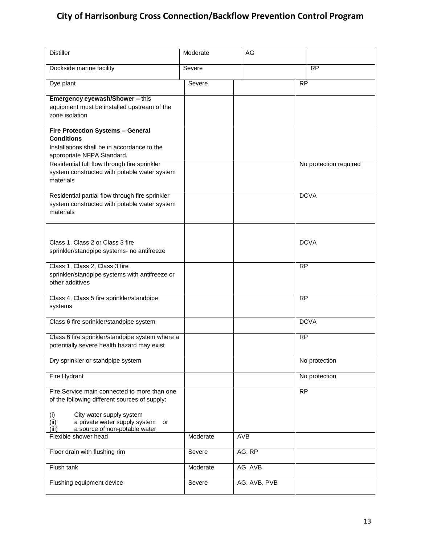| <b>Distiller</b>                                                                                                                           | Moderate | AG           |                        |
|--------------------------------------------------------------------------------------------------------------------------------------------|----------|--------------|------------------------|
| Dockside marine facility                                                                                                                   | Severe   |              | $\overline{RP}$        |
| Dye plant                                                                                                                                  | Severe   |              | <b>RP</b>              |
| Emergency eyewash/Shower - this<br>equipment must be installed upstream of the<br>zone isolation                                           |          |              |                        |
| <b>Fire Protection Systems - General</b><br><b>Conditions</b><br>Installations shall be in accordance to the<br>appropriate NFPA Standard. |          |              |                        |
| Residential full flow through fire sprinkler<br>system constructed with potable water system<br>materials                                  |          |              | No protection required |
| Residential partial flow through fire sprinkler<br>system constructed with potable water system<br>materials                               |          |              | <b>DCVA</b>            |
| Class 1, Class 2 or Class 3 fire<br>sprinkler/standpipe systems- no antifreeze                                                             |          |              | <b>DCVA</b>            |
| Class 1, Class 2, Class 3 fire<br>sprinkler/standpipe systems with antifreeze or<br>other additives                                        |          |              | <b>RP</b>              |
| Class 4, Class 5 fire sprinkler/standpipe<br>systems                                                                                       |          |              | $\overline{RP}$        |
| Class 6 fire sprinkler/standpipe system                                                                                                    |          |              | <b>DCVA</b>            |
| Class 6 fire sprinkler/standpipe system where a<br>potentially severe health hazard may exist                                              |          |              | <b>RP</b>              |
| Dry sprinkler or standpipe system                                                                                                          |          |              | No protection          |
| Fire Hydrant                                                                                                                               |          |              | No protection          |
| Fire Service main connected to more than one<br>of the following different sources of supply:                                              |          |              | $\overline{RP}$        |
| City water supply system<br>(i)<br>(ii)<br>a private water supply system<br>or<br>a source of non-potable water<br>(iii)                   |          |              |                        |
| Flexible shower head                                                                                                                       | Moderate | <b>AVB</b>   |                        |
| Floor drain with flushing rim                                                                                                              | Severe   | AG, RP       |                        |
| Flush tank                                                                                                                                 | Moderate | AG, AVB      |                        |
| Flushing equipment device                                                                                                                  | Severe   | AG, AVB, PVB |                        |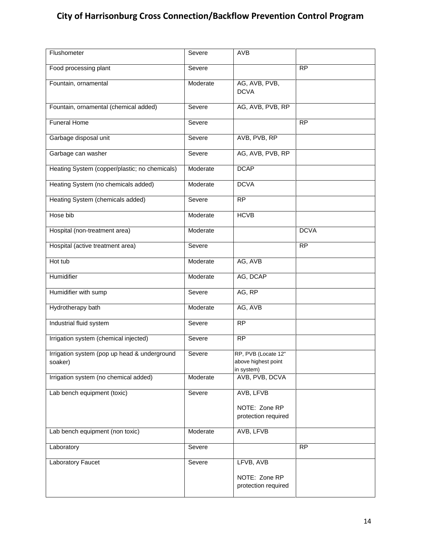| Flushometer                                             | Severe   | <b>AVB</b>                                               |                 |
|---------------------------------------------------------|----------|----------------------------------------------------------|-----------------|
| Food processing plant                                   | Severe   |                                                          | $\overline{RP}$ |
| Fountain, ornamental                                    | Moderate | AG, AVB, PVB,<br><b>DCVA</b>                             |                 |
| Fountain, ornamental (chemical added)                   | Severe   | AG, AVB, PVB, RP                                         |                 |
| <b>Funeral Home</b>                                     | Severe   |                                                          | $\overline{RP}$ |
| Garbage disposal unit                                   | Severe   | AVB, PVB, RP                                             |                 |
| Garbage can washer                                      | Severe   | AG, AVB, PVB, RP                                         |                 |
| Heating System (copper/plastic; no chemicals)           | Moderate | <b>DCAP</b>                                              |                 |
| Heating System (no chemicals added)                     | Moderate | <b>DCVA</b>                                              |                 |
| Heating System (chemicals added)                        | Severe   | <b>RP</b>                                                |                 |
| Hose bib                                                | Moderate | <b>HCVB</b>                                              |                 |
| Hospital (non-treatment area)                           | Moderate |                                                          | <b>DCVA</b>     |
| Hospital (active treatment area)                        | Severe   |                                                          | <b>RP</b>       |
| Hot tub                                                 | Moderate | AG, AVB                                                  |                 |
| Humidifier                                              | Moderate | AG, DCAP                                                 |                 |
| Humidifier with sump                                    | Severe   | AG, RP                                                   |                 |
| Hydrotherapy bath                                       | Moderate | AG, AVB                                                  |                 |
| Industrial fluid system                                 | Severe   | $\overline{RP}$                                          |                 |
| Irrigation system (chemical injected)                   | Severe   | $\overline{RP}$                                          |                 |
| Irrigation system (pop up head & underground<br>soaker) | Severe   | RP, PVB (Locate 12"<br>above highest point<br>in system) |                 |
| Irrigation system (no chemical added)                   | Moderate | AVB, PVB, DCVA                                           |                 |
| Lab bench equipment (toxic)                             | Severe   | AVB, LFVB                                                |                 |
|                                                         |          | NOTE: Zone RP<br>protection required                     |                 |
| Lab bench equipment (non toxic)                         | Moderate | AVB, LFVB                                                |                 |
| Laboratory                                              | Severe   |                                                          | <b>RP</b>       |
| Laboratory Faucet                                       | Severe   | LFVB, AVB                                                |                 |
|                                                         |          | NOTE: Zone RP<br>protection required                     |                 |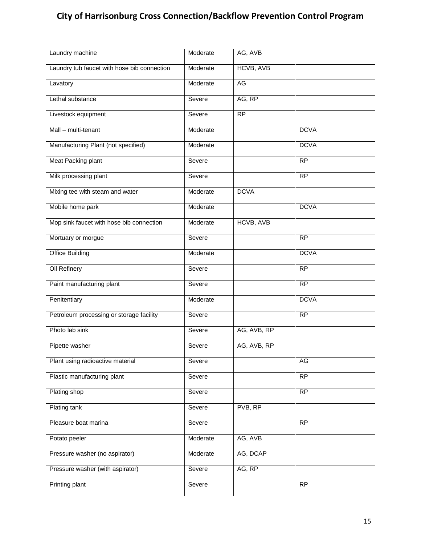| Laundry machine                             | Moderate | AG, AVB          |                 |
|---------------------------------------------|----------|------------------|-----------------|
| Laundry tub faucet with hose bib connection | Moderate | <b>HCVB, AVB</b> |                 |
| Lavatory                                    | Moderate | <b>AG</b>        |                 |
| Lethal substance                            | Severe   | AG, RP           |                 |
| Livestock equipment                         | Severe   | RP               |                 |
| Mall - multi-tenant                         | Moderate |                  | <b>DCVA</b>     |
| Manufacturing Plant (not specified)         | Moderate |                  | <b>DCVA</b>     |
| Meat Packing plant                          | Severe   |                  | $\overline{RP}$ |
| Milk processing plant                       | Severe   |                  | $\overline{RP}$ |
| Mixing tee with steam and water             | Moderate | <b>DCVA</b>      |                 |
| Mobile home park                            | Moderate |                  | <b>DCVA</b>     |
| Mop sink faucet with hose bib connection    | Moderate | <b>HCVB, AVB</b> |                 |
| Mortuary or morgue                          | Severe   |                  | $\overline{RP}$ |
| <b>Office Building</b>                      | Moderate |                  | <b>DCVA</b>     |
| Oil Refinery                                | Severe   |                  | <b>RP</b>       |
| Paint manufacturing plant                   | Severe   |                  | $\overline{RP}$ |
| Penitentiary                                | Moderate |                  | <b>DCVA</b>     |
| Petroleum processing or storage facility    | Severe   |                  | <b>RP</b>       |
| Photo lab sink                              | Severe   | AG, AVB, RP      |                 |
| Pipette washer                              | Severe   | AG, AVB, RP      |                 |
| Plant using radioactive material            | Severe   |                  | AG              |
| Plastic manufacturing plant                 | Severe   |                  | $\overline{RP}$ |
| Plating shop                                | Severe   |                  | RP              |
| Plating tank                                | Severe   | PVB, RP          |                 |
| Pleasure boat marina                        | Severe   |                  | <b>RP</b>       |
| Potato peeler                               | Moderate | AG, AVB          |                 |
| Pressure washer (no aspirator)              | Moderate | AG, DCAP         |                 |
| Pressure washer (with aspirator)            | Severe   | AG, RP           |                 |
| Printing plant                              | Severe   |                  | $\overline{RP}$ |
|                                             |          |                  |                 |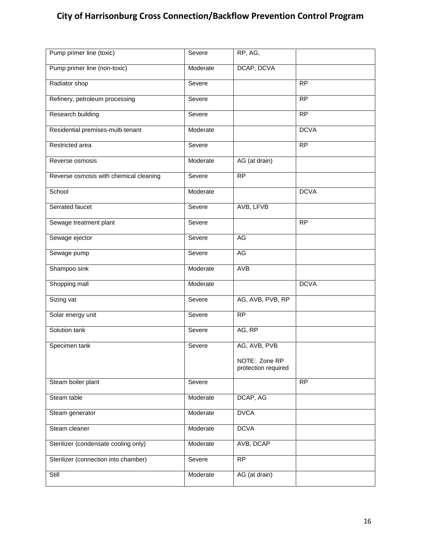| Pump primer line (toxic)               | Severe   | $R\overline{P}$ , AG,                |                 |
|----------------------------------------|----------|--------------------------------------|-----------------|
| Pump primer line (non-toxic)           | Moderate | DCAP, DCVA                           |                 |
| Radiator shop                          | Severe   |                                      | $\overline{RP}$ |
| Refinery, petroleum processing         | Severe   |                                      | RP              |
| Research building                      | Severe   |                                      | $\overline{RP}$ |
| Residential premises-multi-tenant      | Moderate |                                      | <b>DCVA</b>     |
| Restricted area                        | Severe   |                                      | <b>RP</b>       |
| Reverse osmosis                        | Moderate | AG (at drain)                        |                 |
| Reverse osmosis with chemical cleaning | Severe   | <b>RP</b>                            |                 |
| School                                 | Moderate |                                      | <b>DCVA</b>     |
| Serrated faucet                        | Severe   | AVB, LFVB                            |                 |
| Sewage treatment plant                 | Severe   |                                      | RP              |
| Sewage ejector                         | Severe   | <b>AG</b>                            |                 |
| Sewage pump                            | Severe   | AG                                   |                 |
| Shampoo sink                           | Moderate | <b>AVB</b>                           |                 |
| Shopping mall                          | Moderate |                                      | <b>DCVA</b>     |
| Sizing vat                             | Severe   | AG, AVB, PVB, RP                     |                 |
| Solar energy unit                      | Severe   | RP                                   |                 |
| Solution tank                          | Severe   | AG, RP                               |                 |
| Specimen tank                          | Severe   | AG, AVB, PVB                         |                 |
|                                        |          | NOTE: Zone RP<br>protection required |                 |
| Steam boiler plant                     | Severe   |                                      | <b>RP</b>       |
| Steam table                            | Moderate | DCAP, AG                             |                 |
| Steam generator                        | Moderate | <b>DVCA</b>                          |                 |
| Steam cleaner                          | Moderate | <b>DCVA</b>                          |                 |
| Sterilizer (condensate cooling only)   | Moderate | AVB, DCAP                            |                 |
| Sterilizer (connection into chamber)   | Severe   | RP                                   |                 |
| Still                                  | Moderate | AG (at drain)                        |                 |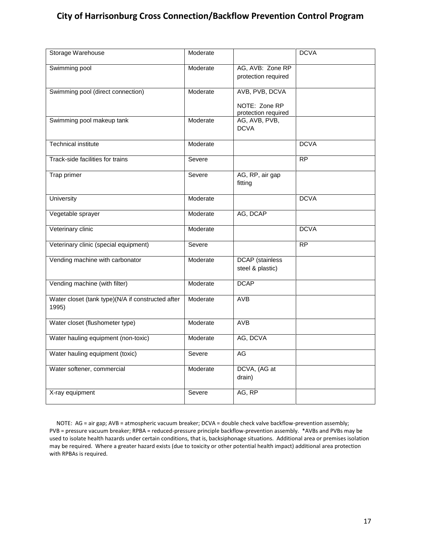| Storage Warehouse                                          | Moderate |                                            | <b>DCVA</b> |
|------------------------------------------------------------|----------|--------------------------------------------|-------------|
| Swimming pool                                              | Moderate | AG, AVB: Zone RP<br>protection required    |             |
| Swimming pool (direct connection)                          | Moderate | AVB, PVB, DCVA                             |             |
|                                                            |          | NOTE: Zone RP<br>protection required       |             |
| Swimming pool makeup tank                                  | Moderate | AG, AVB, PVB,<br><b>DCVA</b>               |             |
| <b>Technical institute</b>                                 | Moderate |                                            | <b>DCVA</b> |
| Track-side facilities for trains                           | Severe   |                                            | RP          |
| Trap primer                                                | Severe   | AG, RP, air gap<br>fitting                 |             |
| <b>University</b>                                          | Moderate |                                            | <b>DCVA</b> |
| Vegetable sprayer                                          | Moderate | AG, DCAP                                   |             |
| Veterinary clinic                                          | Moderate |                                            | <b>DCVA</b> |
| Veterinary clinic (special equipment)                      | Severe   |                                            | RP          |
| Vending machine with carbonator                            | Moderate | <b>DCAP</b> (stainless<br>steel & plastic) |             |
| Vending machine (with filter)                              | Moderate | <b>DCAP</b>                                |             |
| Water closet (tank type)(N/A if constructed after<br>1995) | Moderate | <b>AVB</b>                                 |             |
| Water closet (flushometer type)                            | Moderate | <b>AVB</b>                                 |             |
| Water hauling equipment (non-toxic)                        | Moderate | AG, DCVA                                   |             |
| Water hauling equipment (toxic)                            | Severe   | AG                                         |             |
| Water softener, commercial                                 | Moderate | DCVA, (AG at<br>drain)                     |             |
| X-ray equipment                                            | Severe   | AG, RP                                     |             |

 NOTE: AG = air gap; AVB = atmospheric vacuum breaker; DCVA = double check valve backflow-prevention assembly; PVB = pressure vacuum breaker; RPBA = reduced-pressure principle backflow-prevention assembly. \*AVBs and PVBs may be used to isolate health hazards under certain conditions, that is, backsiphonage situations. Additional area or premises isolation may be required. Where a greater hazard exists (due to toxicity or other potential health impact) additional area protection with RPBAs is required.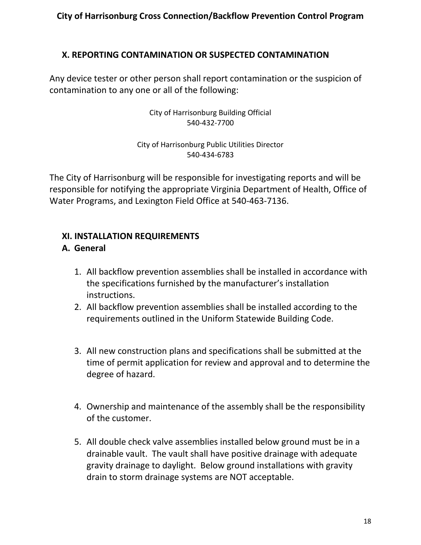### **X. REPORTING CONTAMINATION OR SUSPECTED CONTAMINATION**

Any device tester or other person shall report contamination or the suspicion of contamination to any one or all of the following:

> City of Harrisonburg Building Official 540-432-7700

#### City of Harrisonburg Public Utilities Director 540-434-6783

The City of Harrisonburg will be responsible for investigating reports and will be responsible for notifying the appropriate Virginia Department of Health, Office of Water Programs, and Lexington Field Office at 540-463-7136.

### **XI. INSTALLATION REQUIREMENTS**

### **A. General**

- 1. All backflow prevention assemblies shall be installed in accordance with the specifications furnished by the manufacturer's installation instructions.
- 2. All backflow prevention assemblies shall be installed according to the requirements outlined in the Uniform Statewide Building Code.
- 3. All new construction plans and specifications shall be submitted at the time of permit application for review and approval and to determine the degree of hazard.
- 4. Ownership and maintenance of the assembly shall be the responsibility of the customer.
- 5. All double check valve assemblies installed below ground must be in a drainable vault. The vault shall have positive drainage with adequate gravity drainage to daylight. Below ground installations with gravity drain to storm drainage systems are NOT acceptable.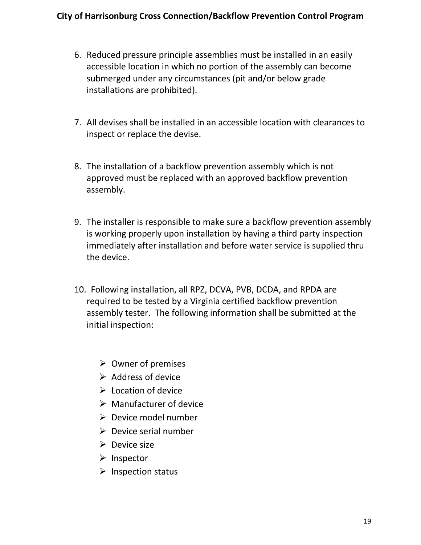- 6. Reduced pressure principle assemblies must be installed in an easily accessible location in which no portion of the assembly can become submerged under any circumstances (pit and/or below grade installations are prohibited).
- 7. All devises shall be installed in an accessible location with clearances to inspect or replace the devise.
- 8. The installation of a backflow prevention assembly which is not approved must be replaced with an approved backflow prevention assembly.
- 9. The installer is responsible to make sure a backflow prevention assembly is working properly upon installation by having a third party inspection immediately after installation and before water service is supplied thru the device.
- 10. Following installation, all RPZ, DCVA, PVB, DCDA, and RPDA are required to be tested by a Virginia certified backflow prevention assembly tester. The following information shall be submitted at the initial inspection:
	- $\triangleright$  Owner of premises
	- $\triangleright$  Address of device
	- $\triangleright$  Location of device
	- $\triangleright$  Manufacturer of device
	- $\triangleright$  Device model number
	- $\triangleright$  Device serial number
	- $\triangleright$  Device size
	- $\triangleright$  Inspector
	- $\triangleright$  Inspection status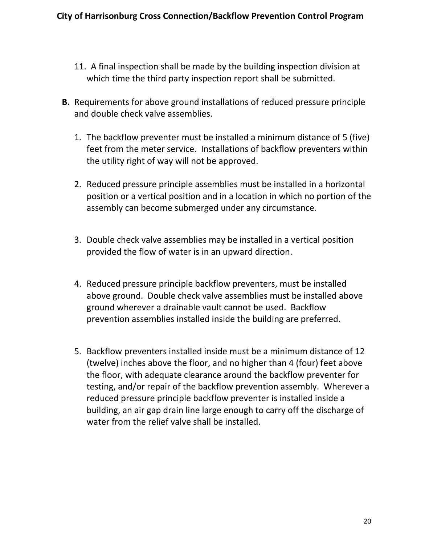- 11. A final inspection shall be made by the building inspection division at which time the third party inspection report shall be submitted.
- **B.** Requirements for above ground installations of reduced pressure principle and double check valve assemblies.
	- 1. The backflow preventer must be installed a minimum distance of 5 (five) feet from the meter service. Installations of backflow preventers within the utility right of way will not be approved.
	- 2. Reduced pressure principle assemblies must be installed in a horizontal position or a vertical position and in a location in which no portion of the assembly can become submerged under any circumstance.
	- 3. Double check valve assemblies may be installed in a vertical position provided the flow of water is in an upward direction.
	- 4. Reduced pressure principle backflow preventers, must be installed above ground. Double check valve assemblies must be installed above ground wherever a drainable vault cannot be used. Backflow prevention assemblies installed inside the building are preferred.
	- 5. Backflow preventers installed inside must be a minimum distance of 12 (twelve) inches above the floor, and no higher than 4 (four) feet above the floor, with adequate clearance around the backflow preventer for testing, and/or repair of the backflow prevention assembly. Wherever a reduced pressure principle backflow preventer is installed inside a building, an air gap drain line large enough to carry off the discharge of water from the relief valve shall be installed.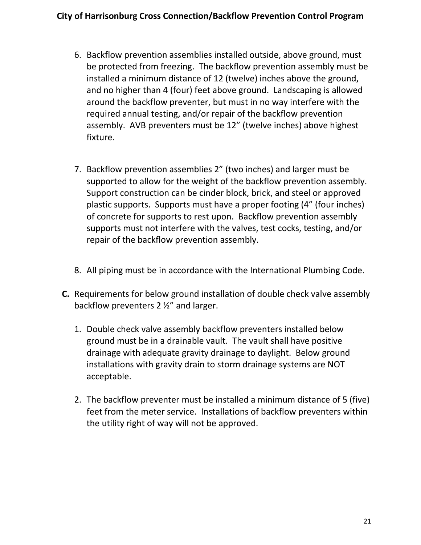- 6. Backflow prevention assemblies installed outside, above ground, must be protected from freezing. The backflow prevention assembly must be installed a minimum distance of 12 (twelve) inches above the ground, and no higher than 4 (four) feet above ground. Landscaping is allowed around the backflow preventer, but must in no way interfere with the required annual testing, and/or repair of the backflow prevention assembly. AVB preventers must be 12" (twelve inches) above highest fixture.
- 7. Backflow prevention assemblies 2" (two inches) and larger must be supported to allow for the weight of the backflow prevention assembly. Support construction can be cinder block, brick, and steel or approved plastic supports. Supports must have a proper footing (4" (four inches) of concrete for supports to rest upon. Backflow prevention assembly supports must not interfere with the valves, test cocks, testing, and/or repair of the backflow prevention assembly.
- 8. All piping must be in accordance with the International Plumbing Code.
- **C.** Requirements for below ground installation of double check valve assembly backflow preventers 2 ½" and larger.
	- 1. Double check valve assembly backflow preventers installed below ground must be in a drainable vault. The vault shall have positive drainage with adequate gravity drainage to daylight. Below ground installations with gravity drain to storm drainage systems are NOT acceptable.
	- 2. The backflow preventer must be installed a minimum distance of 5 (five) feet from the meter service. Installations of backflow preventers within the utility right of way will not be approved.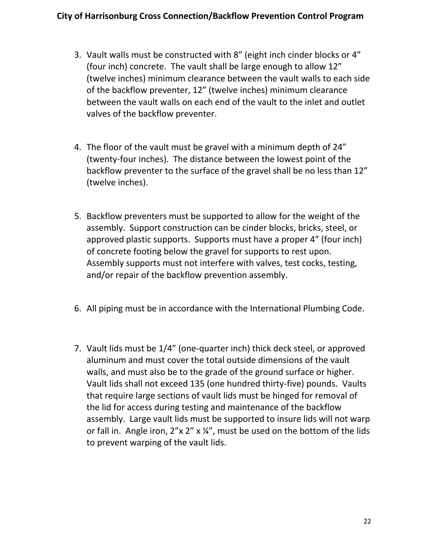- 3. Vault walls must be constructed with 8" (eight inch cinder blocks or 4" (four inch) concrete. The vault shall be large enough to allow 12" (twelve inches) minimum clearance between the vault walls to each side of the backflow preventer, 12" (twelve inches) minimum clearance between the vault walls on each end of the vault to the inlet and outlet valves of the backflow preventer.
- 4. The floor of the vault must be gravel with a minimum depth of 24" (twenty-four inches). The distance between the lowest point of the backflow preventer to the surface of the gravel shall be no less than 12" (twelve inches).
- 5. Backflow preventers must be supported to allow for the weight of the assembly. Support construction can be cinder blocks, bricks, steel, or approved plastic supports. Supports must have a proper 4" (four inch) of concrete footing below the gravel for supports to rest upon. Assembly supports must not interfere with valves, test cocks, testing, and/or repair of the backflow prevention assembly.
- 6. All piping must be in accordance with the International Plumbing Code.
- 7. Vault lids must be 1/4" (one-quarter inch) thick deck steel, or approved aluminum and must cover the total outside dimensions of the vault walls, and must also be to the grade of the ground surface or higher. Vault lids shall not exceed 135 (one hundred thirty-five) pounds. Vaults that require large sections of vault lids must be hinged for removal of the lid for access during testing and maintenance of the backflow assembly. Large vault lids must be supported to insure lids will not warp or fall in. Angle iron, 2"x 2" x ¼", must be used on the bottom of the lids to prevent warping of the vault lids.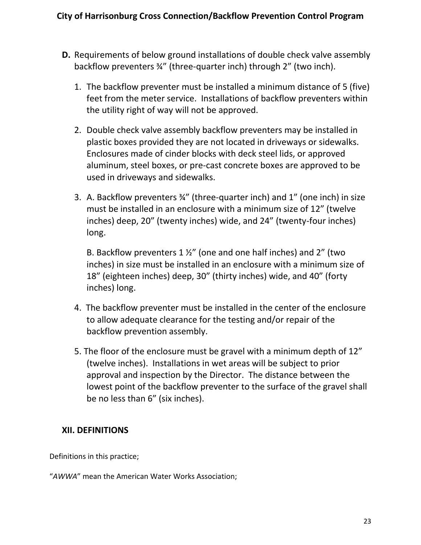- **D.** Requirements of below ground installations of double check valve assembly backflow preventers ¾" (three-quarter inch) through 2" (two inch).
	- 1. The backflow preventer must be installed a minimum distance of 5 (five) feet from the meter service. Installations of backflow preventers within the utility right of way will not be approved.
	- 2. Double check valve assembly backflow preventers may be installed in plastic boxes provided they are not located in driveways or sidewalks. Enclosures made of cinder blocks with deck steel lids, or approved aluminum, steel boxes, or pre-cast concrete boxes are approved to be used in driveways and sidewalks.
	- 3. A. Backflow preventers ¾" (three-quarter inch) and 1" (one inch) in size must be installed in an enclosure with a minimum size of 12" (twelve inches) deep, 20" (twenty inches) wide, and 24" (twenty-four inches) long.

B. Backflow preventers 1 ½" (one and one half inches) and 2" (two inches) in size must be installed in an enclosure with a minimum size of 18" (eighteen inches) deep, 30" (thirty inches) wide, and 40" (forty inches) long.

- 4. The backflow preventer must be installed in the center of the enclosure to allow adequate clearance for the testing and/or repair of the backflow prevention assembly.
- 5. The floor of the enclosure must be gravel with a minimum depth of 12" (twelve inches). Installations in wet areas will be subject to prior approval and inspection by the Director. The distance between the lowest point of the backflow preventer to the surface of the gravel shall be no less than 6" (six inches).

# **XII. DEFINITIONS**

Definitions in this practice;

"*AWWA*" mean the American Water Works Association;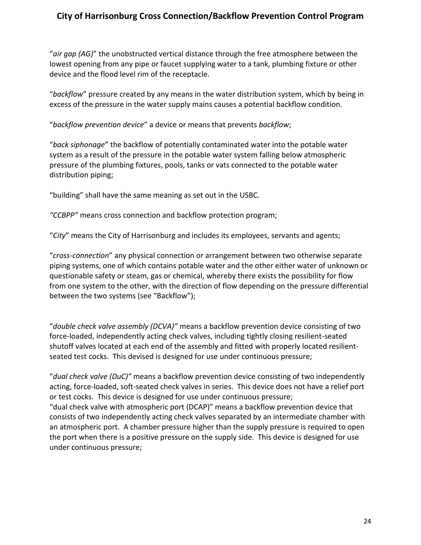"*air gap (AG)*" the unobstructed vertical distance through the free atmosphere between the lowest opening from any pipe or faucet supplying water to a tank, plumbing fixture or other device and the flood level rim of the receptacle.

"*backflow*" pressure created by any means in the water distribution system, which by being in excess of the pressure in the water supply mains causes a potential backflow condition.

"*backflow prevention device*" a device or means that prevents *backflow*;

"*back siphonage*" the backflow of potentially contaminated water into the potable water system as a result of the pressure in the potable water system falling below atmospheric pressure of the plumbing fixtures, pools, tanks or vats connected to the potable water distribution piping;

"building" shall have the same meaning as set out in the USBC.

*"CCBPP"* means cross connection and backflow protection program;

"*City*" means the City of Harrisonburg and includes its employees, servants and agents;

"*cross-connection*" any physical connection or arrangement between two otherwise separate piping systems, one of which contains potable water and the other either water of unknown or questionable safety or steam, gas or chemical, whereby there exists the possibility for flow from one system to the other, with the direction of flow depending on the pressure differential between the two systems (see "Backflow");

"*double check valve assembly (DCVA)"* means a backflow prevention device consisting of two force-loaded, independently acting check valves, including tightly closing resilient-seated shutoff valves located at each end of the assembly and fitted with properly located resilientseated test cocks. This devised is designed for use under continuous pressure;

"*dual check valve (DuC)"* means a backflow prevention device consisting of two independently acting, force-loaded, soft-seated check valves in series. This device does not have a relief port or test cocks. This device is designed for use under continuous pressure; "dual check valve with atmospheric port (DCAP)" means a backflow prevention device that consists of two independently acting check valves separated by an intermediate chamber with an atmospheric port. A chamber pressure higher than the supply pressure is required to open the port when there is a positive pressure on the supply side. This device is designed for use under continuous pressure;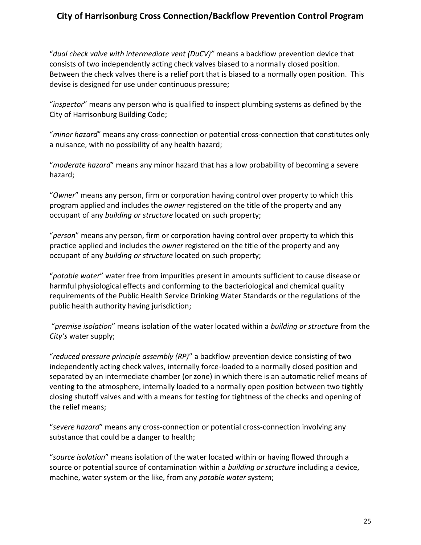"*dual check valve with intermediate vent (DuCV)"* means a backflow prevention device that consists of two independently acting check valves biased to a normally closed position. Between the check valves there is a relief port that is biased to a normally open position. This devise is designed for use under continuous pressure;

"*inspector*" means any person who is qualified to inspect plumbing systems as defined by the City of Harrisonburg Building Code;

"*minor hazard*" means any cross-connection or potential cross-connection that constitutes only a nuisance, with no possibility of any health hazard;

"*moderate hazard*" means any minor hazard that has a low probability of becoming a severe hazard;

"*Owner*" means any person, firm or corporation having control over property to which this program applied and includes the *owner* registered on the title of the property and any occupant of any *building or structure* located on such property;

"*person*" means any person, firm or corporation having control over property to which this practice applied and includes the *owner* registered on the title of the property and any occupant of any *building or structure* located on such property;

"*potable water*" water free from impurities present in amounts sufficient to cause disease or harmful physiological effects and conforming to the bacteriological and chemical quality requirements of the Public Health Service Drinking Water Standards or the regulations of the public health authority having jurisdiction;

"*premise isolation*" means isolation of the water located within a *building or structure* from the *City's* water supply;

"*reduced pressure principle assembly (RP)*" a backflow prevention device consisting of two independently acting check valves, internally force-loaded to a normally closed position and separated by an intermediate chamber (or zone) in which there is an automatic relief means of venting to the atmosphere, internally loaded to a normally open position between two tightly closing shutoff valves and with a means for testing for tightness of the checks and opening of the relief means;

"*severe hazard*" means any cross-connection or potential cross-connection involving any substance that could be a danger to health;

"*source isolation*" means isolation of the water located within or having flowed through a source or potential source of contamination within a *building or structure* including a device, machine, water system or the like, from any *potable water* system;